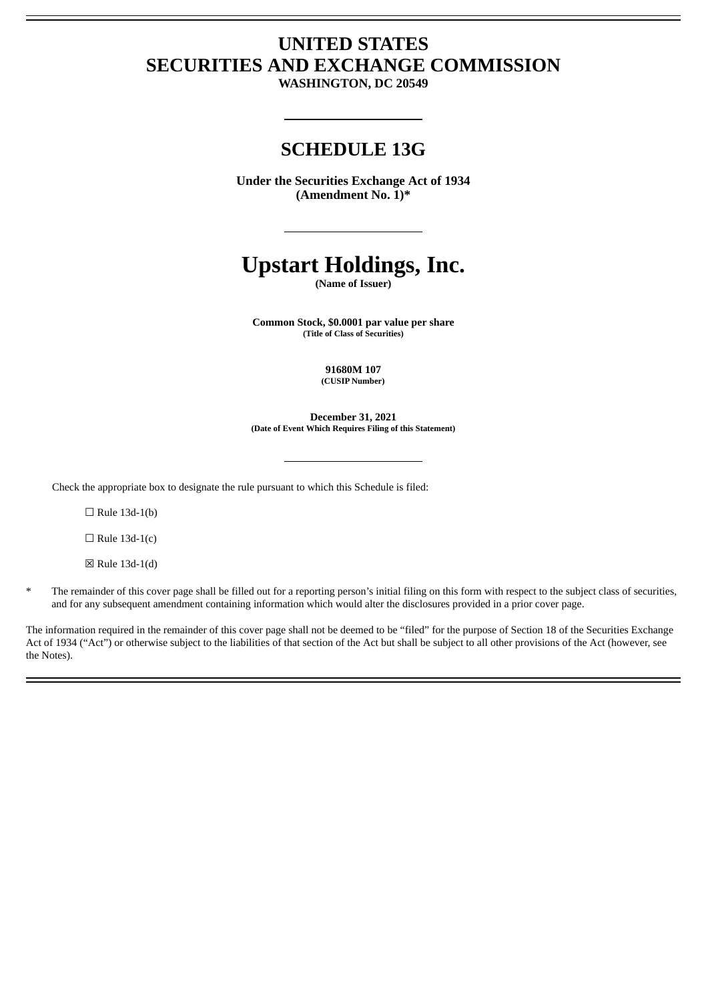## **UNITED STATES SECURITIES AND EXCHANGE COMMISSION**

**WASHINGTON, DC 20549**

### **SCHEDULE 13G**

**Under the Securities Exchange Act of 1934 (Amendment No. 1)\***

# **Upstart Holdings, Inc.**

**(Name of Issuer)**

**Common Stock, \$0.0001 par value per share (Title of Class of Securities)**

> **91680M 107 (CUSIP Number)**

**December 31, 2021 (Date of Event Which Requires Filing of this Statement)**

Check the appropriate box to designate the rule pursuant to which this Schedule is filed:

 $\Box$  Rule 13d-1(b)

 $\Box$  Rule 13d-1(c)

☒ Rule 13d-1(d)

\* The remainder of this cover page shall be filled out for a reporting person's initial filing on this form with respect to the subject class of securities, and for any subsequent amendment containing information which would alter the disclosures provided in a prior cover page.

The information required in the remainder of this cover page shall not be deemed to be "filed" for the purpose of Section 18 of the Securities Exchange Act of 1934 ("Act") or otherwise subject to the liabilities of that section of the Act but shall be subject to all other provisions of the Act (however, see the Notes).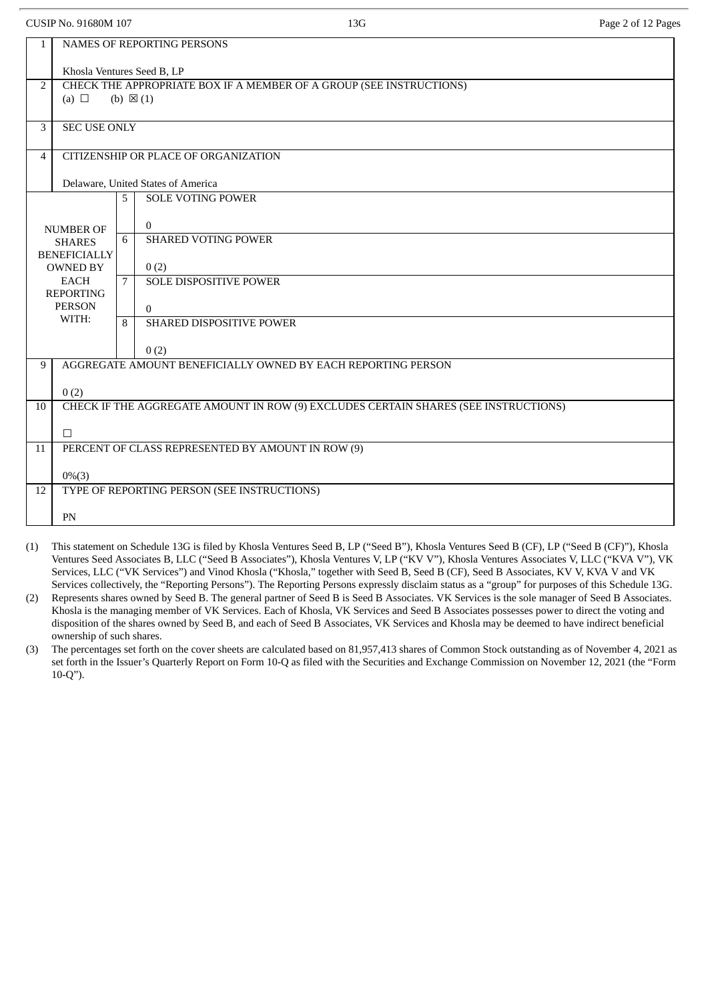CUSIP No. 91680M 107 **13G** Page 2 of 12 Pages

| 1              | <b>NAMES OF REPORTING PERSONS</b>                                                                        |   |                                                              |  |  |  |  |
|----------------|----------------------------------------------------------------------------------------------------------|---|--------------------------------------------------------------|--|--|--|--|
|                | Khosla Ventures Seed B, LP                                                                               |   |                                                              |  |  |  |  |
| $\overline{2}$ | CHECK THE APPROPRIATE BOX IF A MEMBER OF A GROUP (SEE INSTRUCTIONS)<br>(a) $\Box$<br>(b) $\boxtimes$ (1) |   |                                                              |  |  |  |  |
| 3              | <b>SEC USE ONLY</b>                                                                                      |   |                                                              |  |  |  |  |
| $\overline{4}$ |                                                                                                          |   | CITIZENSHIP OR PLACE OF ORGANIZATION                         |  |  |  |  |
|                |                                                                                                          |   | Delaware, United States of America                           |  |  |  |  |
|                |                                                                                                          | 5 | <b>SOLE VOTING POWER</b>                                     |  |  |  |  |
|                | <b>NUMBER OF</b>                                                                                         |   | $\overline{0}$                                               |  |  |  |  |
|                | <b>SHARES</b>                                                                                            | 6 | <b>SHARED VOTING POWER</b>                                   |  |  |  |  |
|                | <b>BENEFICIALLY</b><br><b>OWNED BY</b>                                                                   |   | 0(2)                                                         |  |  |  |  |
|                | <b>EACH</b>                                                                                              | 7 | <b>SOLE DISPOSITIVE POWER</b>                                |  |  |  |  |
|                | <b>REPORTING</b><br><b>PERSON</b>                                                                        |   |                                                              |  |  |  |  |
|                | WITH:                                                                                                    |   | $\Omega$<br>SHARED DISPOSITIVE POWER                         |  |  |  |  |
|                |                                                                                                          | 8 |                                                              |  |  |  |  |
|                |                                                                                                          |   | 0(2)                                                         |  |  |  |  |
| 9              |                                                                                                          |   | AGGREGATE AMOUNT BENEFICIALLY OWNED BY EACH REPORTING PERSON |  |  |  |  |
|                | 0(2)                                                                                                     |   |                                                              |  |  |  |  |
| 10             | CHECK IF THE AGGREGATE AMOUNT IN ROW (9) EXCLUDES CERTAIN SHARES (SEE INSTRUCTIONS)                      |   |                                                              |  |  |  |  |
|                | $\Box$                                                                                                   |   |                                                              |  |  |  |  |
| 11             |                                                                                                          |   | PERCENT OF CLASS REPRESENTED BY AMOUNT IN ROW (9)            |  |  |  |  |
|                |                                                                                                          |   |                                                              |  |  |  |  |
| 12             | $0\%$ (3)                                                                                                |   | TYPE OF REPORTING PERSON (SEE INSTRUCTIONS)                  |  |  |  |  |
|                |                                                                                                          |   |                                                              |  |  |  |  |
|                | PN                                                                                                       |   |                                                              |  |  |  |  |

(1) This statement on Schedule 13G is filed by Khosla Ventures Seed B, LP ("Seed B"), Khosla Ventures Seed B (CF), LP ("Seed B (CF)"), Khosla Ventures Seed Associates B, LLC ("Seed B Associates"), Khosla Ventures V, LP ("KV V"), Khosla Ventures Associates V, LLC ("KVA V"), VK Services, LLC ("VK Services") and Vinod Khosla ("Khosla," together with Seed B, Seed B (CF), Seed B Associates, KV V, KVA V and VK Services collectively, the "Reporting Persons"). The Reporting Persons expressly disclaim status as a "group" for purposes of this Schedule 13G.

(2) Represents shares owned by Seed B. The general partner of Seed B is Seed B Associates. VK Services is the sole manager of Seed B Associates. Khosla is the managing member of VK Services. Each of Khosla, VK Services and Seed B Associates possesses power to direct the voting and disposition of the shares owned by Seed B, and each of Seed B Associates, VK Services and Khosla may be deemed to have indirect beneficial ownership of such shares.

(3) The percentages set forth on the cover sheets are calculated based on 81,957,413 shares of Common Stock outstanding as of November 4, 2021 as set forth in the Issuer's Quarterly Report on Form 10-Q as filed with the Securities and Exchange Commission on November 12, 2021 (the "Form 10-Q").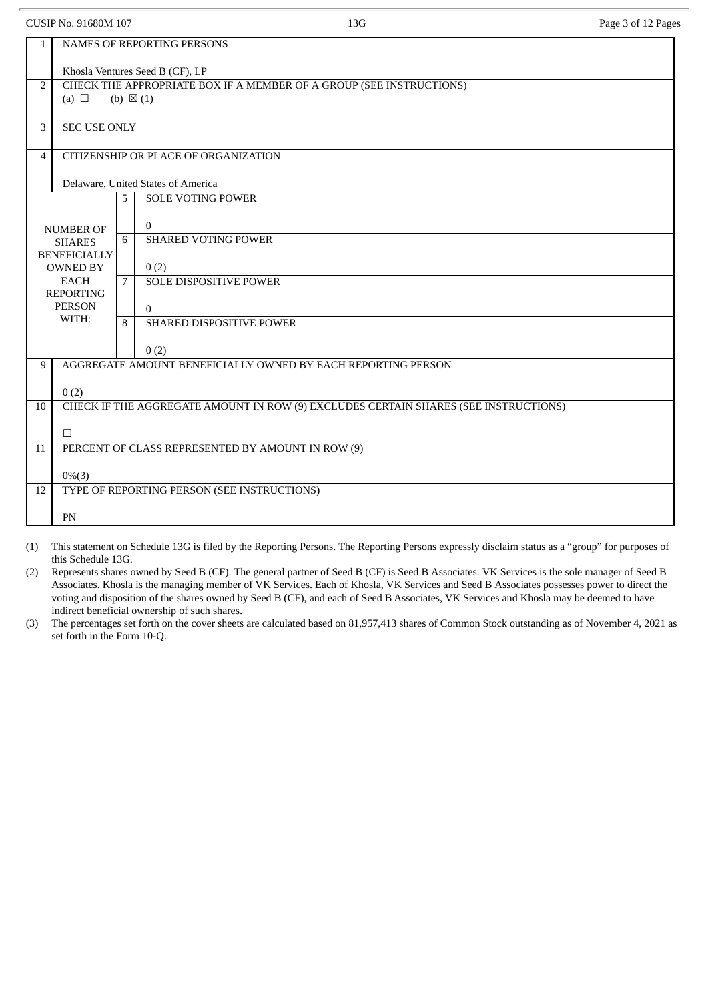CUSIP No. 91680M 107 2012 13G 2012 Page 3 of 12 Pages 3 of 12 Pages

| 1                             | NAMES OF REPORTING PERSONS                                                                  |                                                              |  |  |  |  |  |  |
|-------------------------------|---------------------------------------------------------------------------------------------|--------------------------------------------------------------|--|--|--|--|--|--|
|                               | Khosla Ventures Seed B (CF), LP                                                             |                                                              |  |  |  |  |  |  |
| $\overline{2}$                | CHECK THE APPROPRIATE BOX IF A MEMBER OF A GROUP (SEE INSTRUCTIONS)                         |                                                              |  |  |  |  |  |  |
|                               | (a) $\Box$<br>(b) $\boxtimes$ (1)                                                           |                                                              |  |  |  |  |  |  |
| 3                             | <b>SEC USE ONLY</b>                                                                         |                                                              |  |  |  |  |  |  |
|                               |                                                                                             |                                                              |  |  |  |  |  |  |
| $\overline{4}$                |                                                                                             | CITIZENSHIP OR PLACE OF ORGANIZATION                         |  |  |  |  |  |  |
|                               |                                                                                             | Delaware, United States of America                           |  |  |  |  |  |  |
|                               |                                                                                             | <b>SOLE VOTING POWER</b><br>5                                |  |  |  |  |  |  |
|                               |                                                                                             |                                                              |  |  |  |  |  |  |
|                               | <b>NUMBER OF</b>                                                                            | $\overline{0}$<br><b>SHARED VOTING POWER</b><br>6            |  |  |  |  |  |  |
|                               | <b>SHARES</b><br><b>BENEFICIALLY</b>                                                        |                                                              |  |  |  |  |  |  |
|                               | <b>OWNED BY</b>                                                                             | 0(2)                                                         |  |  |  |  |  |  |
|                               | <b>EACH</b>                                                                                 | <b>SOLE DISPOSITIVE POWER</b><br>7                           |  |  |  |  |  |  |
|                               | <b>REPORTING</b><br><b>PERSON</b>                                                           |                                                              |  |  |  |  |  |  |
|                               | WITH:                                                                                       | $\theta$                                                     |  |  |  |  |  |  |
| SHARED DISPOSITIVE POWER<br>8 |                                                                                             |                                                              |  |  |  |  |  |  |
|                               |                                                                                             | 0(2)                                                         |  |  |  |  |  |  |
| 9                             |                                                                                             | AGGREGATE AMOUNT BENEFICIALLY OWNED BY EACH REPORTING PERSON |  |  |  |  |  |  |
|                               |                                                                                             |                                                              |  |  |  |  |  |  |
| 10                            | 0(2)<br>CHECK IF THE AGGREGATE AMOUNT IN ROW (9) EXCLUDES CERTAIN SHARES (SEE INSTRUCTIONS) |                                                              |  |  |  |  |  |  |
|                               |                                                                                             |                                                              |  |  |  |  |  |  |
|                               | $\Box$                                                                                      |                                                              |  |  |  |  |  |  |
| 11                            | PERCENT OF CLASS REPRESENTED BY AMOUNT IN ROW (9)                                           |                                                              |  |  |  |  |  |  |
|                               | $0\%$ (3)                                                                                   |                                                              |  |  |  |  |  |  |
| 12                            | TYPE OF REPORTING PERSON (SEE INSTRUCTIONS)                                                 |                                                              |  |  |  |  |  |  |
|                               |                                                                                             |                                                              |  |  |  |  |  |  |
|                               | PN                                                                                          |                                                              |  |  |  |  |  |  |

(1) This statement on Schedule 13G is filed by the Reporting Persons. The Reporting Persons expressly disclaim status as a "group" for purposes of this Schedule 13G.

(2) Represents shares owned by Seed B (CF). The general partner of Seed B (CF) is Seed B Associates. VK Services is the sole manager of Seed B Associates. Khosla is the managing member of VK Services. Each of Khosla, VK Services and Seed B Associates possesses power to direct the voting and disposition of the shares owned by Seed B (CF), and each of Seed B Associates, VK Services and Khosla may be deemed to have indirect beneficial ownership of such shares.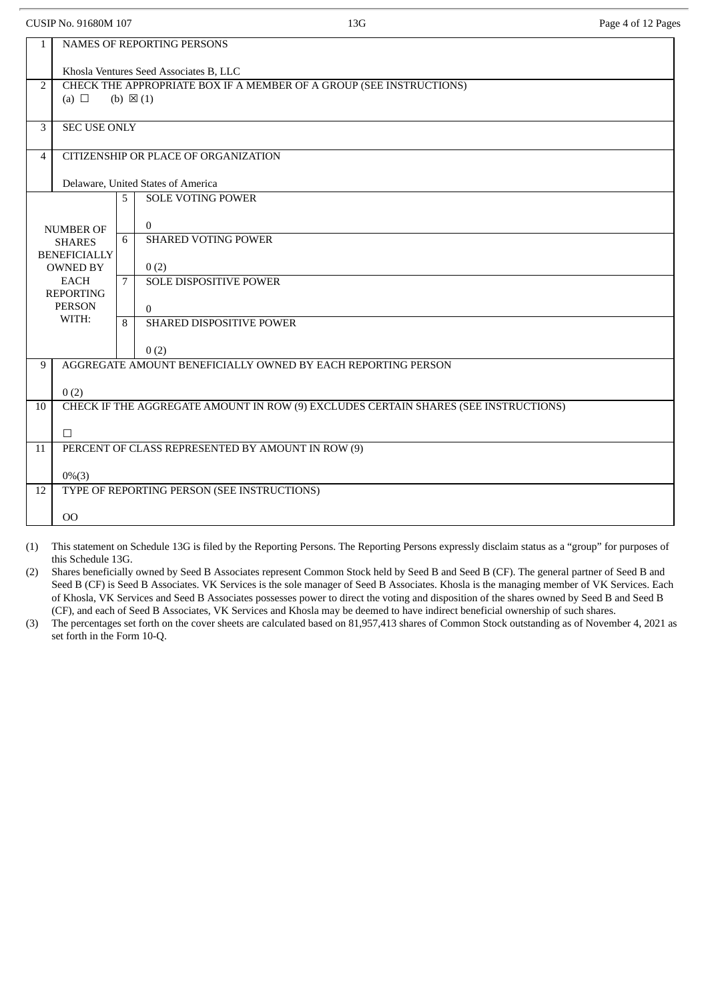CUSIP No. 91680M 107 2012 13G 2012 13G 2012 13G 2012 13G 2012 13G 2012 13G 2012 13G 2012 13G 2012 13G 2012 13G

| $\mathbf{1}$ | NAMES OF REPORTING PERSONS                                                                               |                                                                                     |  |  |  |  |  |
|--------------|----------------------------------------------------------------------------------------------------------|-------------------------------------------------------------------------------------|--|--|--|--|--|
|              | Khosla Ventures Seed Associates B, LLC                                                                   |                                                                                     |  |  |  |  |  |
| 2            | CHECK THE APPROPRIATE BOX IF A MEMBER OF A GROUP (SEE INSTRUCTIONS)<br>(a) $\Box$<br>(b) $\boxtimes$ (1) |                                                                                     |  |  |  |  |  |
|              |                                                                                                          |                                                                                     |  |  |  |  |  |
| 3            | <b>SEC USE ONLY</b>                                                                                      |                                                                                     |  |  |  |  |  |
| 4            |                                                                                                          | CITIZENSHIP OR PLACE OF ORGANIZATION                                                |  |  |  |  |  |
|              |                                                                                                          | Delaware, United States of America                                                  |  |  |  |  |  |
|              |                                                                                                          | <b>SOLE VOTING POWER</b><br>5                                                       |  |  |  |  |  |
|              | <b>NUMBER OF</b>                                                                                         | $\Omega$                                                                            |  |  |  |  |  |
|              | <b>SHARES</b><br><b>BENEFICIALLY</b>                                                                     | <b>SHARED VOTING POWER</b><br>6                                                     |  |  |  |  |  |
|              | <b>OWNED BY</b>                                                                                          | 0(2)                                                                                |  |  |  |  |  |
|              | <b>EACH</b><br><b>REPORTING</b>                                                                          | <b>SOLE DISPOSITIVE POWER</b><br>7                                                  |  |  |  |  |  |
|              | <b>PERSON</b><br>WITH:                                                                                   | $\Omega$                                                                            |  |  |  |  |  |
|              |                                                                                                          | SHARED DISPOSITIVE POWER<br>8                                                       |  |  |  |  |  |
|              |                                                                                                          | 0(2)                                                                                |  |  |  |  |  |
| 9            |                                                                                                          | AGGREGATE AMOUNT BENEFICIALLY OWNED BY EACH REPORTING PERSON                        |  |  |  |  |  |
|              | 0(2)                                                                                                     |                                                                                     |  |  |  |  |  |
| 10           |                                                                                                          | CHECK IF THE AGGREGATE AMOUNT IN ROW (9) EXCLUDES CERTAIN SHARES (SEE INSTRUCTIONS) |  |  |  |  |  |
|              | $\Box$                                                                                                   |                                                                                     |  |  |  |  |  |
| 11           |                                                                                                          | PERCENT OF CLASS REPRESENTED BY AMOUNT IN ROW (9)                                   |  |  |  |  |  |
|              | $0\%$ (3)                                                                                                |                                                                                     |  |  |  |  |  |
| 12           |                                                                                                          | TYPE OF REPORTING PERSON (SEE INSTRUCTIONS)                                         |  |  |  |  |  |
|              | 00                                                                                                       |                                                                                     |  |  |  |  |  |

(1) This statement on Schedule 13G is filed by the Reporting Persons. The Reporting Persons expressly disclaim status as a "group" for purposes of this Schedule 13G.

(2) Shares beneficially owned by Seed B Associates represent Common Stock held by Seed B and Seed B (CF). The general partner of Seed B and Seed B (CF) is Seed B Associates. VK Services is the sole manager of Seed B Associates. Khosla is the managing member of VK Services. Each of Khosla, VK Services and Seed B Associates possesses power to direct the voting and disposition of the shares owned by Seed B and Seed B (CF), and each of Seed B Associates, VK Services and Khosla may be deemed to have indirect beneficial ownership of such shares.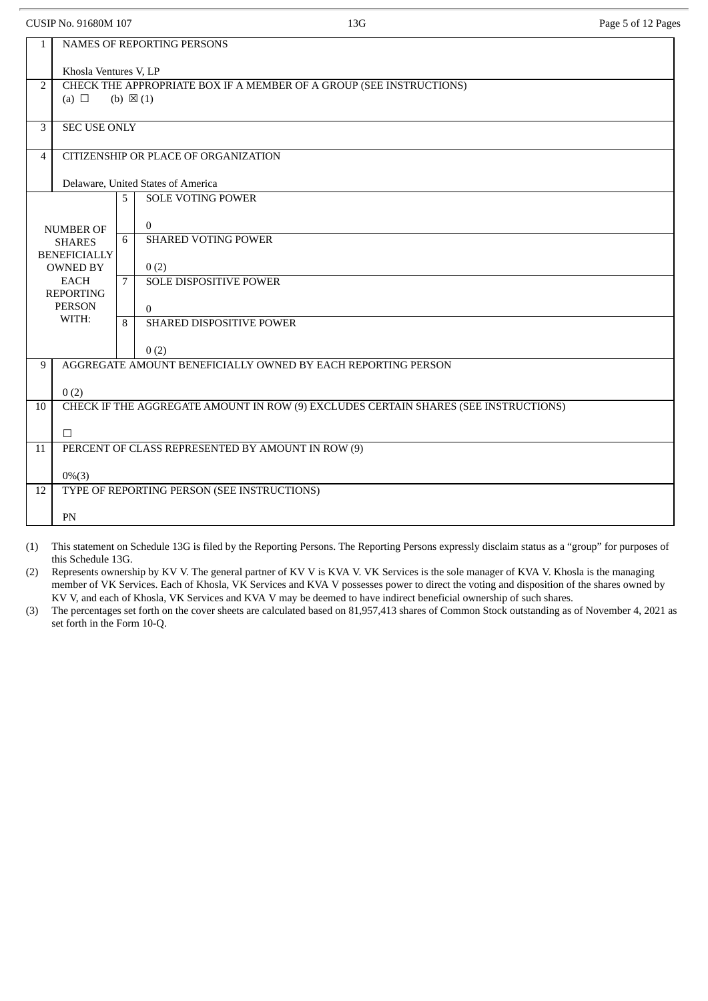CUSIP No. 91680M 107 2012 13G 2012 13G 2012 13G 2012 13G 2012 13G 2012 13G 2012 13G 2012 13G 2012 13G 2012 13G

| 1              | <b>NAMES OF REPORTING PERSONS</b>                                                   |   |                                                              |  |  |  |  |  |
|----------------|-------------------------------------------------------------------------------------|---|--------------------------------------------------------------|--|--|--|--|--|
|                | Khosla Ventures V, LP                                                               |   |                                                              |  |  |  |  |  |
| $\overline{2}$ | CHECK THE APPROPRIATE BOX IF A MEMBER OF A GROUP (SEE INSTRUCTIONS)                 |   |                                                              |  |  |  |  |  |
|                | (a) $\Box$<br>(b) $\boxtimes$ (1)                                                   |   |                                                              |  |  |  |  |  |
| 3              | <b>SEC USE ONLY</b>                                                                 |   |                                                              |  |  |  |  |  |
|                |                                                                                     |   |                                                              |  |  |  |  |  |
| $\overline{4}$ |                                                                                     |   | CITIZENSHIP OR PLACE OF ORGANIZATION                         |  |  |  |  |  |
|                |                                                                                     |   | Delaware, United States of America                           |  |  |  |  |  |
|                |                                                                                     | 5 | <b>SOLE VOTING POWER</b>                                     |  |  |  |  |  |
|                | <b>NUMBER OF</b>                                                                    |   | $\overline{0}$                                               |  |  |  |  |  |
|                | <b>SHARES</b>                                                                       | 6 | <b>SHARED VOTING POWER</b>                                   |  |  |  |  |  |
|                | <b>BENEFICIALLY</b><br><b>OWNED BY</b>                                              |   |                                                              |  |  |  |  |  |
|                | <b>EACH</b>                                                                         | 7 | 0(2)<br><b>SOLE DISPOSITIVE POWER</b>                        |  |  |  |  |  |
|                | <b>REPORTING</b>                                                                    |   |                                                              |  |  |  |  |  |
|                | <b>PERSON</b><br>WITH:                                                              | 8 | $\theta$<br>SHARED DISPOSITIVE POWER                         |  |  |  |  |  |
|                |                                                                                     |   |                                                              |  |  |  |  |  |
|                |                                                                                     |   | 0(2)                                                         |  |  |  |  |  |
| 9              |                                                                                     |   | AGGREGATE AMOUNT BENEFICIALLY OWNED BY EACH REPORTING PERSON |  |  |  |  |  |
|                | 0(2)                                                                                |   |                                                              |  |  |  |  |  |
| 10             | CHECK IF THE AGGREGATE AMOUNT IN ROW (9) EXCLUDES CERTAIN SHARES (SEE INSTRUCTIONS) |   |                                                              |  |  |  |  |  |
|                | $\Box$                                                                              |   |                                                              |  |  |  |  |  |
| 11             | PERCENT OF CLASS REPRESENTED BY AMOUNT IN ROW (9)                                   |   |                                                              |  |  |  |  |  |
|                |                                                                                     |   |                                                              |  |  |  |  |  |
| 12             | $0\%$ (3)<br>TYPE OF REPORTING PERSON (SEE INSTRUCTIONS)                            |   |                                                              |  |  |  |  |  |
|                |                                                                                     |   |                                                              |  |  |  |  |  |
|                | PN                                                                                  |   |                                                              |  |  |  |  |  |

(1) This statement on Schedule 13G is filed by the Reporting Persons. The Reporting Persons expressly disclaim status as a "group" for purposes of this Schedule 13G.

(2) Represents ownership by KV V. The general partner of KV V is KVA V. VK Services is the sole manager of KVA V. Khosla is the managing member of VK Services. Each of Khosla, VK Services and KVA V possesses power to direct the voting and disposition of the shares owned by KV V, and each of Khosla, VK Services and KVA V may be deemed to have indirect beneficial ownership of such shares.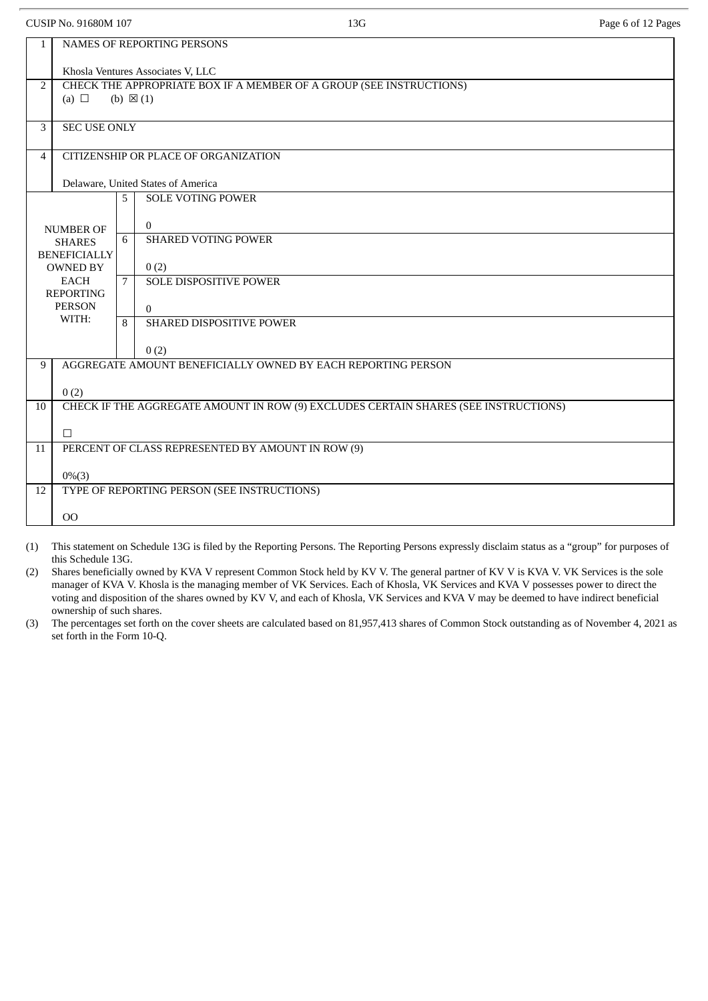CUSIP No. 91680M 107 **13G** Page 6 of 12 Pages

| $\mathbf{1}$   | NAMES OF REPORTING PERSONS                                                                 |   |                                                                                     |  |  |  |  |
|----------------|--------------------------------------------------------------------------------------------|---|-------------------------------------------------------------------------------------|--|--|--|--|
|                | Khosla Ventures Associates V, LLC                                                          |   |                                                                                     |  |  |  |  |
| $\overline{2}$ | CHECK THE APPROPRIATE BOX IF A MEMBER OF A GROUP (SEE INSTRUCTIONS)<br>(b) $\boxtimes$ (1) |   |                                                                                     |  |  |  |  |
|                | (a) $\Box$                                                                                 |   |                                                                                     |  |  |  |  |
| 3              | <b>SEC USE ONLY</b>                                                                        |   |                                                                                     |  |  |  |  |
|                |                                                                                            |   |                                                                                     |  |  |  |  |
| 4              |                                                                                            |   | CITIZENSHIP OR PLACE OF ORGANIZATION                                                |  |  |  |  |
|                |                                                                                            |   | Delaware, United States of America                                                  |  |  |  |  |
|                |                                                                                            | 5 | <b>SOLE VOTING POWER</b>                                                            |  |  |  |  |
|                | <b>NUMBER OF</b>                                                                           |   | $\overline{0}$                                                                      |  |  |  |  |
|                | <b>SHARES</b>                                                                              | 6 | <b>SHARED VOTING POWER</b>                                                          |  |  |  |  |
|                | <b>BENEFICIALLY</b>                                                                        |   |                                                                                     |  |  |  |  |
|                | <b>OWNED BY</b><br>EACH                                                                    | 7 | 0(2)<br><b>SOLE DISPOSITIVE POWER</b>                                               |  |  |  |  |
|                | <b>REPORTING</b>                                                                           |   |                                                                                     |  |  |  |  |
|                | <b>PERSON</b><br>WITH:                                                                     |   | $\Omega$                                                                            |  |  |  |  |
|                |                                                                                            | 8 | SHARED DISPOSITIVE POWER                                                            |  |  |  |  |
|                |                                                                                            |   | 0(2)                                                                                |  |  |  |  |
| 9              |                                                                                            |   | AGGREGATE AMOUNT BENEFICIALLY OWNED BY EACH REPORTING PERSON                        |  |  |  |  |
|                | 0(2)                                                                                       |   |                                                                                     |  |  |  |  |
| 10             |                                                                                            |   | CHECK IF THE AGGREGATE AMOUNT IN ROW (9) EXCLUDES CERTAIN SHARES (SEE INSTRUCTIONS) |  |  |  |  |
|                | $\Box$                                                                                     |   |                                                                                     |  |  |  |  |
| 11             | PERCENT OF CLASS REPRESENTED BY AMOUNT IN ROW (9)                                          |   |                                                                                     |  |  |  |  |
|                |                                                                                            |   |                                                                                     |  |  |  |  |
| 12             | $0\%$ (3)<br>TYPE OF REPORTING PERSON (SEE INSTRUCTIONS)                                   |   |                                                                                     |  |  |  |  |
|                |                                                                                            |   |                                                                                     |  |  |  |  |
|                | 00                                                                                         |   |                                                                                     |  |  |  |  |

(1) This statement on Schedule 13G is filed by the Reporting Persons. The Reporting Persons expressly disclaim status as a "group" for purposes of this Schedule 13G.

(2) Shares beneficially owned by KVA V represent Common Stock held by KV V. The general partner of KV V is KVA V. VK Services is the sole manager of KVA V. Khosla is the managing member of VK Services. Each of Khosla, VK Services and KVA V possesses power to direct the voting and disposition of the shares owned by KV V, and each of Khosla, VK Services and KVA V may be deemed to have indirect beneficial ownership of such shares.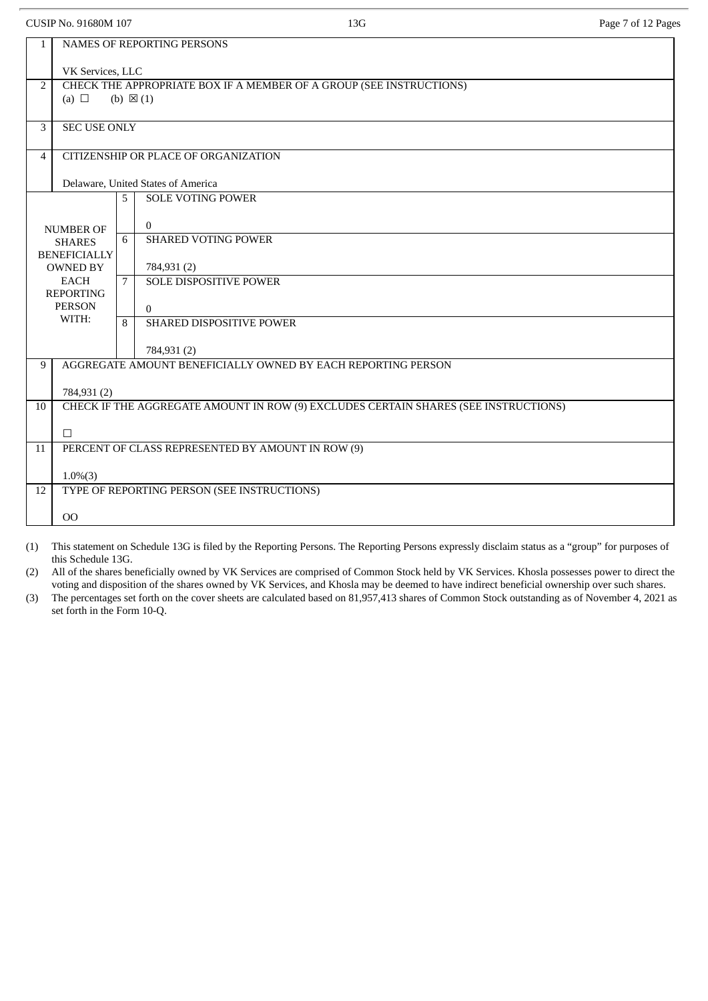CUSIP No. 91680M 107 2012 Page 7 of 12 Pages

| $\mathbf{1}$   | <b>NAMES OF REPORTING PERSONS</b>                                                                  |   |                                                              |  |  |  |  |  |
|----------------|----------------------------------------------------------------------------------------------------|---|--------------------------------------------------------------|--|--|--|--|--|
|                | VK Services, LLC                                                                                   |   |                                                              |  |  |  |  |  |
| $\overline{2}$ | CHECK THE APPROPRIATE BOX IF A MEMBER OF A GROUP (SEE INSTRUCTIONS)                                |   |                                                              |  |  |  |  |  |
|                | (a) $\Box$<br>(b) $\boxtimes$ (1)                                                                  |   |                                                              |  |  |  |  |  |
| 3              | <b>SEC USE ONLY</b>                                                                                |   |                                                              |  |  |  |  |  |
|                |                                                                                                    |   |                                                              |  |  |  |  |  |
| $\overline{4}$ |                                                                                                    |   | CITIZENSHIP OR PLACE OF ORGANIZATION                         |  |  |  |  |  |
|                |                                                                                                    |   | Delaware, United States of America                           |  |  |  |  |  |
|                |                                                                                                    | 5 | <b>SOLE VOTING POWER</b>                                     |  |  |  |  |  |
|                |                                                                                                    |   | $\overline{0}$                                               |  |  |  |  |  |
|                | <b>NUMBER OF</b>                                                                                   | 6 | <b>SHARED VOTING POWER</b>                                   |  |  |  |  |  |
|                | <b>SHARES</b><br><b>BENEFICIALLY</b>                                                               |   |                                                              |  |  |  |  |  |
|                | <b>OWNED BY</b>                                                                                    |   | 784,931 (2)                                                  |  |  |  |  |  |
|                | EACH                                                                                               | 7 | <b>SOLE DISPOSITIVE POWER</b>                                |  |  |  |  |  |
|                | <b>REPORTING</b><br><b>PERSON</b>                                                                  |   |                                                              |  |  |  |  |  |
|                | WITH:                                                                                              |   | $\overline{0}$                                               |  |  |  |  |  |
|                |                                                                                                    | 8 | SHARED DISPOSITIVE POWER                                     |  |  |  |  |  |
|                |                                                                                                    |   | 784,931 (2)                                                  |  |  |  |  |  |
| 9              |                                                                                                    |   | AGGREGATE AMOUNT BENEFICIALLY OWNED BY EACH REPORTING PERSON |  |  |  |  |  |
|                |                                                                                                    |   |                                                              |  |  |  |  |  |
| 10             | 784,931 (2)<br>CHECK IF THE AGGREGATE AMOUNT IN ROW (9) EXCLUDES CERTAIN SHARES (SEE INSTRUCTIONS) |   |                                                              |  |  |  |  |  |
|                |                                                                                                    |   |                                                              |  |  |  |  |  |
|                | $\Box$                                                                                             |   |                                                              |  |  |  |  |  |
| 11             | PERCENT OF CLASS REPRESENTED BY AMOUNT IN ROW (9)                                                  |   |                                                              |  |  |  |  |  |
|                | $1.0\%(3)$                                                                                         |   |                                                              |  |  |  |  |  |
| 12             | TYPE OF REPORTING PERSON (SEE INSTRUCTIONS)                                                        |   |                                                              |  |  |  |  |  |
|                |                                                                                                    |   |                                                              |  |  |  |  |  |
|                | 00                                                                                                 |   |                                                              |  |  |  |  |  |

(1) This statement on Schedule 13G is filed by the Reporting Persons. The Reporting Persons expressly disclaim status as a "group" for purposes of this Schedule 13G.

(2) All of the shares beneficially owned by VK Services are comprised of Common Stock held by VK Services. Khosla possesses power to direct the voting and disposition of the shares owned by VK Services, and Khosla may be deemed to have indirect beneficial ownership over such shares.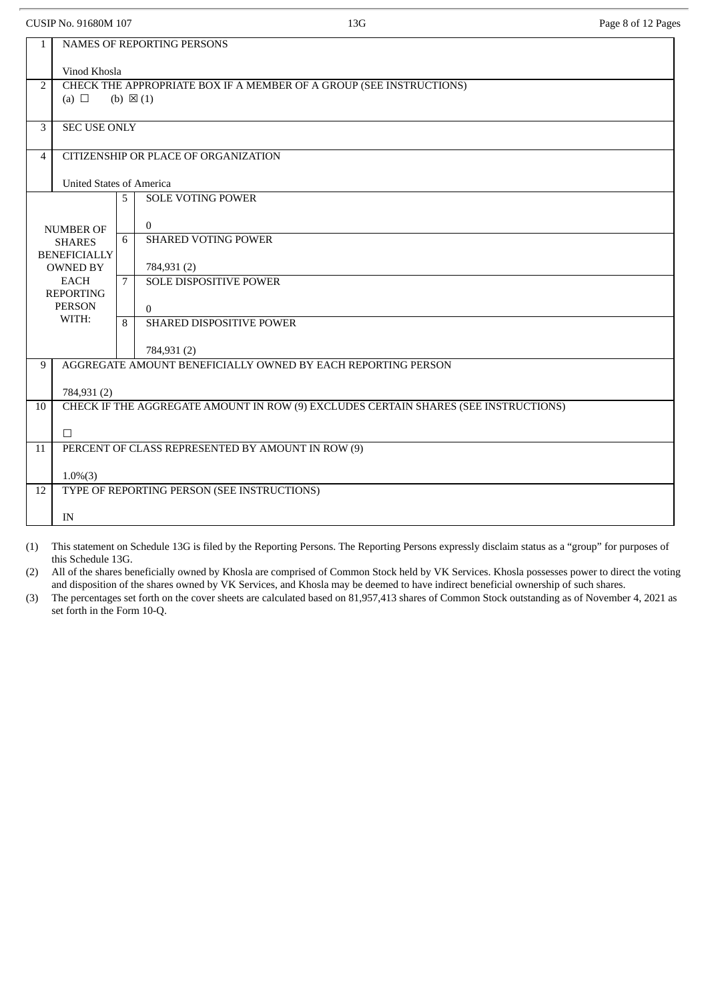CUSIP No. 91680M 107 2012 Page 8 of 12 Pages

| $\mathbf{1}$   | NAMES OF REPORTING PERSONS                                          |   |                                                                                     |  |  |  |  |  |
|----------------|---------------------------------------------------------------------|---|-------------------------------------------------------------------------------------|--|--|--|--|--|
|                | Vinod Khosla                                                        |   |                                                                                     |  |  |  |  |  |
| $\overline{2}$ | CHECK THE APPROPRIATE BOX IF A MEMBER OF A GROUP (SEE INSTRUCTIONS) |   |                                                                                     |  |  |  |  |  |
|                | (a) $\Box$                                                          |   | (b) $\boxtimes$ (1)                                                                 |  |  |  |  |  |
| 3              | <b>SEC USE ONLY</b>                                                 |   |                                                                                     |  |  |  |  |  |
|                |                                                                     |   |                                                                                     |  |  |  |  |  |
| 4              |                                                                     |   | CITIZENSHIP OR PLACE OF ORGANIZATION                                                |  |  |  |  |  |
|                | <b>United States of America</b>                                     |   |                                                                                     |  |  |  |  |  |
|                |                                                                     | 5 | <b>SOLE VOTING POWER</b>                                                            |  |  |  |  |  |
|                |                                                                     |   | $\overline{0}$                                                                      |  |  |  |  |  |
|                | <b>NUMBER OF</b><br><b>SHARES</b>                                   | 6 | <b>SHARED VOTING POWER</b>                                                          |  |  |  |  |  |
|                | <b>BENEFICIALLY</b>                                                 |   |                                                                                     |  |  |  |  |  |
|                | <b>OWNED BY</b>                                                     |   | 784,931 (2)                                                                         |  |  |  |  |  |
|                | <b>EACH</b><br><b>REPORTING</b>                                     | 7 | <b>SOLE DISPOSITIVE POWER</b>                                                       |  |  |  |  |  |
|                | <b>PERSON</b>                                                       |   | $\Omega$                                                                            |  |  |  |  |  |
|                | WITH:                                                               | 8 | SHARED DISPOSITIVE POWER                                                            |  |  |  |  |  |
|                |                                                                     |   | 784,931 (2)                                                                         |  |  |  |  |  |
| 9              |                                                                     |   | AGGREGATE AMOUNT BENEFICIALLY OWNED BY EACH REPORTING PERSON                        |  |  |  |  |  |
|                |                                                                     |   |                                                                                     |  |  |  |  |  |
| 10             | 784,931 (2)                                                         |   | CHECK IF THE AGGREGATE AMOUNT IN ROW (9) EXCLUDES CERTAIN SHARES (SEE INSTRUCTIONS) |  |  |  |  |  |
|                |                                                                     |   |                                                                                     |  |  |  |  |  |
|                | $\Box$                                                              |   |                                                                                     |  |  |  |  |  |
| 11             | PERCENT OF CLASS REPRESENTED BY AMOUNT IN ROW (9)                   |   |                                                                                     |  |  |  |  |  |
|                | $1.0\%(3)$                                                          |   |                                                                                     |  |  |  |  |  |
| 12             |                                                                     |   | TYPE OF REPORTING PERSON (SEE INSTRUCTIONS)                                         |  |  |  |  |  |
|                |                                                                     |   |                                                                                     |  |  |  |  |  |
|                | IN                                                                  |   |                                                                                     |  |  |  |  |  |

(1) This statement on Schedule 13G is filed by the Reporting Persons. The Reporting Persons expressly disclaim status as a "group" for purposes of this Schedule 13G.

(2) All of the shares beneficially owned by Khosla are comprised of Common Stock held by VK Services. Khosla possesses power to direct the voting and disposition of the shares owned by VK Services, and Khosla may be deemed to have indirect beneficial ownership of such shares.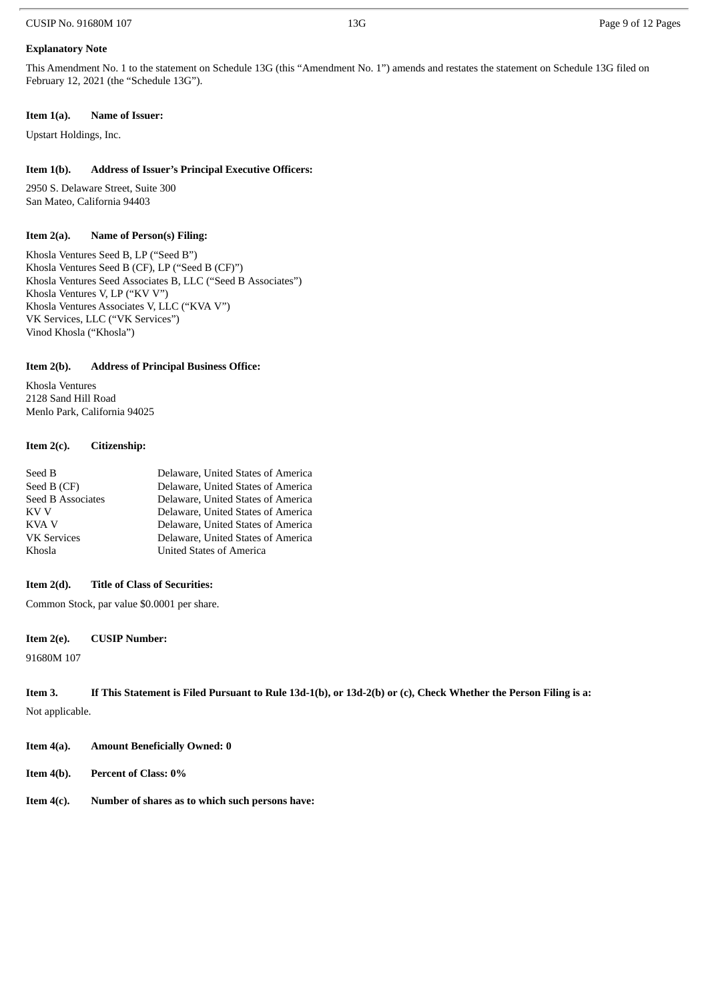#### CUSIP No. 91680M 107 **13G** Page 9 of 12 Pages

#### **Explanatory Note**

This Amendment No. 1 to the statement on Schedule 13G (this "Amendment No. 1") amends and restates the statement on Schedule 13G filed on February 12, 2021 (the "Schedule 13G").

#### **Item 1(a). Name of Issuer:**

Upstart Holdings, Inc.

#### **Item 1(b). Address of Issuer's Principal Executive Officers:**

2950 S. Delaware Street, Suite 300 San Mateo, California 94403

#### **Item 2(a). Name of Person(s) Filing:**

Khosla Ventures Seed B, LP ("Seed B") Khosla Ventures Seed B (CF), LP ("Seed B (CF)") Khosla Ventures Seed Associates B, LLC ("Seed B Associates") Khosla Ventures V, LP ("KV V") Khosla Ventures Associates V, LLC ("KVA V") VK Services, LLC ("VK Services") Vinod Khosla ("Khosla")

#### **Item 2(b). Address of Principal Business Office:**

Khosla Ventures 2128 Sand Hill Road Menlo Park, California 94025

#### **Item 2(c). Citizenship:**

| Seed B             | Delaware, United States of America |
|--------------------|------------------------------------|
| Seed B (CF)        | Delaware, United States of America |
| Seed B Associates  | Delaware, United States of America |
| KV V               | Delaware, United States of America |
| KVA V              | Delaware, United States of America |
| <b>VK Services</b> | Delaware, United States of America |
| Khosla             | <b>United States of America</b>    |
|                    |                                    |

#### **Item 2(d). Title of Class of Securities:**

Common Stock, par value \$0.0001 per share.

#### **Item 2(e). CUSIP Number:**

91680M 107

```
Item 3. If This Statement is Filed Pursuant to Rule 13d-1(b), or 13d-2(b) or (c), Check Whether the Person Filing is a:
```
Not applicable.

- **Item 4(a). Amount Beneficially Owned: 0**
- **Item 4(b). Percent of Class: 0%**
- **Item 4(c). Number of shares as to which such persons have:**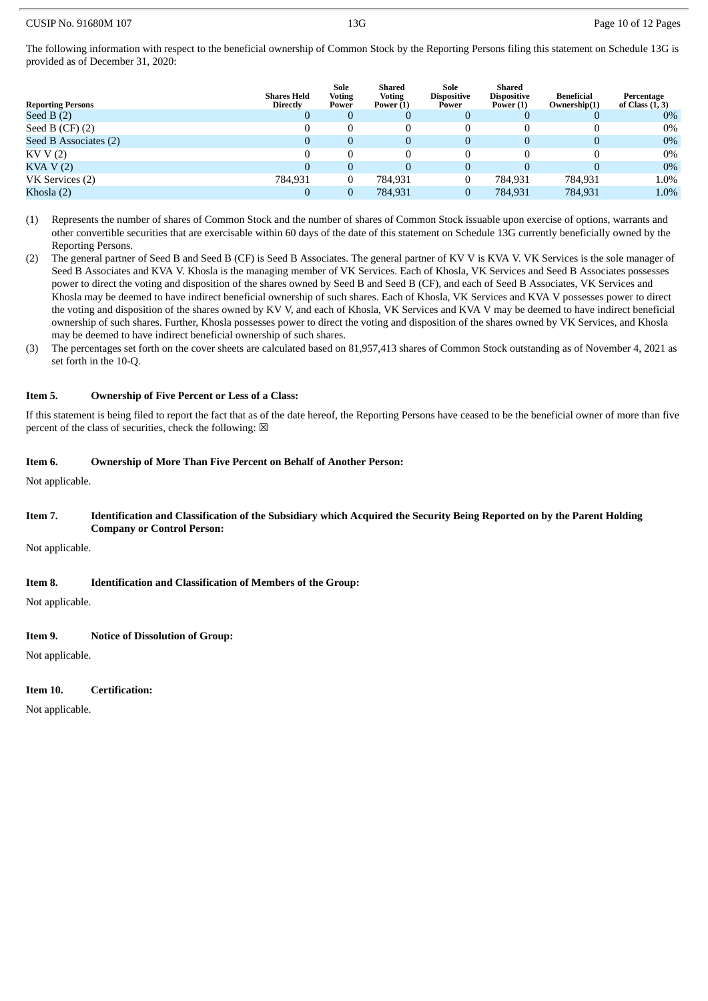The following information with respect to the beneficial ownership of Common Stock by the Reporting Persons filing this statement on Schedule 13G is provided as of December 31, 2020:

| <b>Reporting Persons</b> | <b>Shares Held</b><br><b>Directly</b> | Sole<br><b>Voting</b><br>Power | Shared<br><b>Voting</b><br>Power $(1)$ | Sole<br><b>Dispositive</b><br>Power | Shared<br><b>Dispositive</b><br>Power (1) | Beneficial<br>Ownership(1) | Percentage<br>of Class (1, 3) |
|--------------------------|---------------------------------------|--------------------------------|----------------------------------------|-------------------------------------|-------------------------------------------|----------------------------|-------------------------------|
| Seed B $(2)$             | 0                                     | 0                              |                                        | 0                                   |                                           |                            | $0\%$                         |
| Seed B $(CF)$ $(2)$      | 0                                     |                                |                                        |                                     |                                           |                            | $0\%$                         |
| Seed B Associates (2)    | 0                                     | 0                              | $\Omega$                               | 0                                   | 0                                         |                            | $0\%$                         |
| KVV(2)                   |                                       |                                |                                        |                                     |                                           |                            | $0\%$                         |
| KVA V(2)                 | 0                                     | 0                              |                                        | 0                                   |                                           |                            | $0\%$                         |
| VK Services (2)          | 784,931                               | 0                              | 784.931                                | 0                                   | 784,931                                   | 784,931                    | 1.0%                          |
| Khosla (2)               |                                       |                                | 784,931                                | 0                                   | 784,931                                   | 784,931                    | 1.0%                          |

- (1) Represents the number of shares of Common Stock and the number of shares of Common Stock issuable upon exercise of options, warrants and other convertible securities that are exercisable within 60 days of the date of this statement on Schedule 13G currently beneficially owned by the Reporting Persons.
- (2) The general partner of Seed B and Seed B (CF) is Seed B Associates. The general partner of KV V is KVA V. VK Services is the sole manager of Seed B Associates and KVA V. Khosla is the managing member of VK Services. Each of Khosla, VK Services and Seed B Associates possesses power to direct the voting and disposition of the shares owned by Seed B and Seed B (CF), and each of Seed B Associates, VK Services and Khosla may be deemed to have indirect beneficial ownership of such shares. Each of Khosla, VK Services and KVA V possesses power to direct the voting and disposition of the shares owned by KV V, and each of Khosla, VK Services and KVA V may be deemed to have indirect beneficial ownership of such shares. Further, Khosla possesses power to direct the voting and disposition of the shares owned by VK Services, and Khosla may be deemed to have indirect beneficial ownership of such shares.
- (3) The percentages set forth on the cover sheets are calculated based on 81,957,413 shares of Common Stock outstanding as of November 4, 2021 as set forth in the 10-Q.

#### **Item 5. Ownership of Five Percent or Less of a Class:**

If this statement is being filed to report the fact that as of the date hereof, the Reporting Persons have ceased to be the beneficial owner of more than five percent of the class of securities, check the following:  $\boxtimes$ 

#### **Item 6. Ownership of More Than Five Percent on Behalf of Another Person:**

Not applicable.

#### Item 7. Identification and Classification of the Subsidiary which Acquired the Security Being Reported on by the Parent Holding **Company or Control Person:**

Not applicable.

#### **Item 8. Identification and Classification of Members of the Group:**

Not applicable.

#### **Item 9. Notice of Dissolution of Group:**

Not applicable.

#### **Item 10. Certification:**

Not applicable.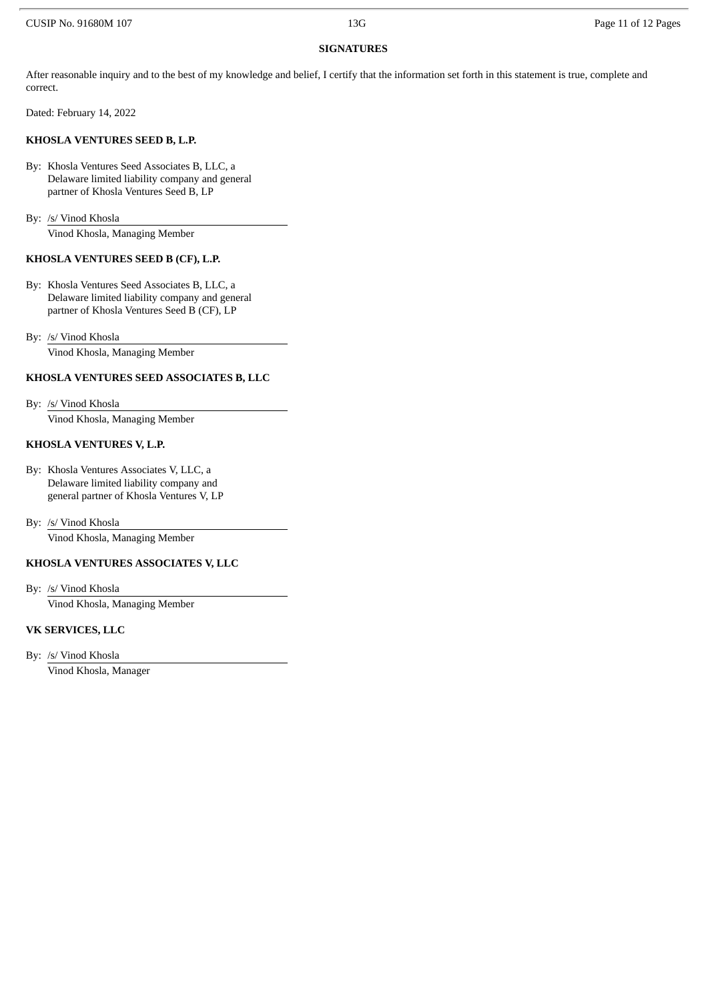#### **SIGNATURES**

After reasonable inquiry and to the best of my knowledge and belief, I certify that the information set forth in this statement is true, complete and correct.

Dated: February 14, 2022

#### **KHOSLA VENTURES SEED B, L.P.**

By: Khosla Ventures Seed Associates B, LLC, a Delaware limited liability company and general partner of Khosla Ventures Seed B, LP

By: /s/ Vinod Khosla

Vinod Khosla, Managing Member

#### **KHOSLA VENTURES SEED B (CF), L.P.**

By: Khosla Ventures Seed Associates B, LLC, a Delaware limited liability company and general partner of Khosla Ventures Seed B (CF), LP

By: /s/ Vinod Khosla Vinod Khosla, Managing Member

#### **KHOSLA VENTURES SEED ASSOCIATES B, LLC**

By: /s/ Vinod Khosla

Vinod Khosla, Managing Member

#### **KHOSLA VENTURES V, L.P.**

By: Khosla Ventures Associates V, LLC, a Delaware limited liability company and general partner of Khosla Ventures V, LP

By: /s/ Vinod Khosla Vinod Khosla, Managing Member

#### **KHOSLA VENTURES ASSOCIATES V, LLC**

By: /s/ Vinod Khosla

Vinod Khosla, Managing Member

#### **VK SERVICES, LLC**

By: /s/ Vinod Khosla

Vinod Khosla, Manager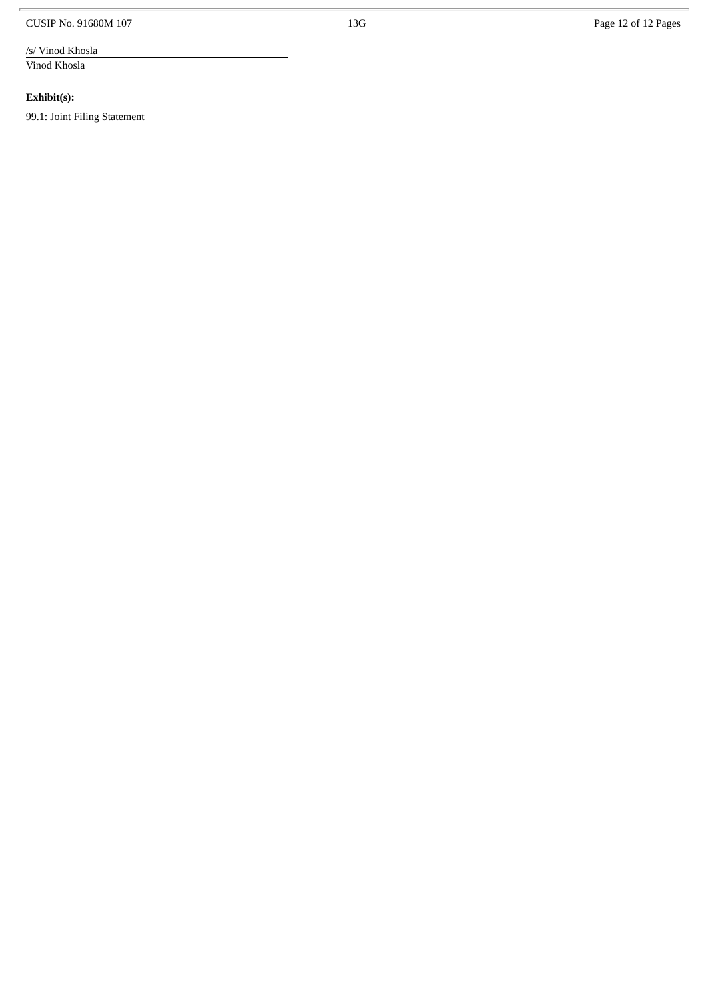CUSIP No. 91680M 107

/s/ Vinod Khosla

Vinod Khosla

**Exhibit(s):** 

99.1: Joint Filing Statement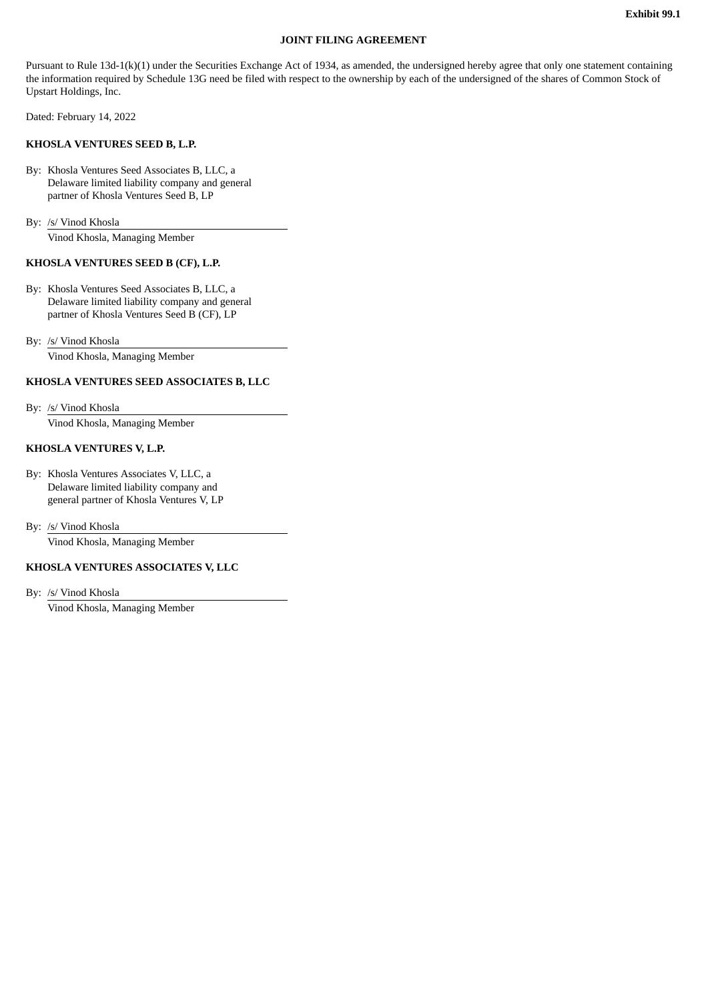#### **JOINT FILING AGREEMENT**

Pursuant to Rule 13d-1(k)(1) under the Securities Exchange Act of 1934, as amended, the undersigned hereby agree that only one statement containing the information required by Schedule 13G need be filed with respect to the ownership by each of the undersigned of the shares of Common Stock of Upstart Holdings, Inc.

Dated: February 14, 2022

#### **KHOSLA VENTURES SEED B, L.P.**

By: Khosla Ventures Seed Associates B, LLC, a Delaware limited liability company and general partner of Khosla Ventures Seed B, LP

By: /s/ Vinod Khosla

Vinod Khosla, Managing Member

#### **KHOSLA VENTURES SEED B (CF), L.P.**

By: Khosla Ventures Seed Associates B, LLC, a Delaware limited liability company and general partner of Khosla Ventures Seed B (CF), LP

By: /s/ Vinod Khosla Vinod Khosla, Managing Member

#### **KHOSLA VENTURES SEED ASSOCIATES B, LLC**

By: /s/ Vinod Khosla Vinod Khosla, Managing Member

#### **KHOSLA VENTURES V, L.P.**

By: Khosla Ventures Associates V, LLC, a Delaware limited liability company and general partner of Khosla Ventures V, LP

By: /s/ Vinod Khosla Vinod Khosla, Managing Member

#### **KHOSLA VENTURES ASSOCIATES V, LLC**

By: /s/ Vinod Khosla

Vinod Khosla, Managing Member